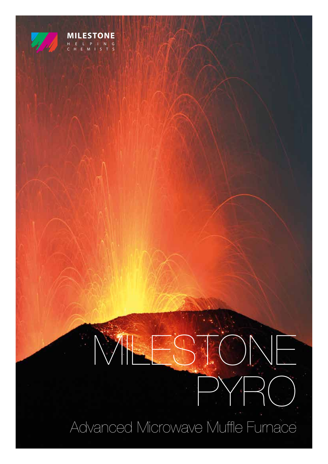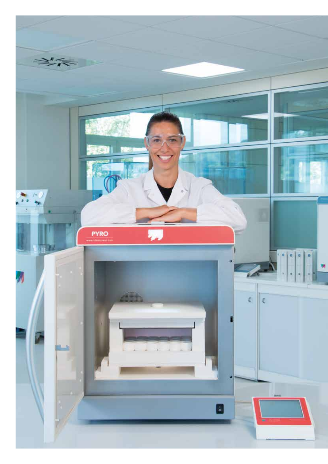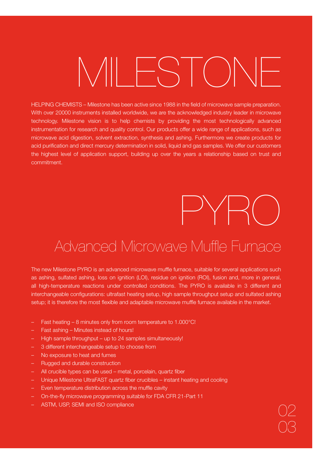# MILESTONE

HELPING CHEMISTS – Milestone has been active since 1988 in the field of microwave sample preparation. With over 20000 instruments installed worldwide, we are the acknowledged industry leader in microwave technology. Milestone vision is to help chemists by providing the most technologically advanced instrumentation for research and quality control. Our products offer a wide range of applications, such as microwave acid digestion, solvent extraction, synthesis and ashing. Furthermore we create products for acid purification and direct mercury determination in solid, liquid and gas samples. We offer our customers the highest level of application support, building up over the years a relationship based on trust and commitment.

## Advanced Microwave Muffle Furnace

 $\mathcal{O}(\mathbb{R})$ 

02

03

The new Milestone PYRO is an advanced microwave muffle furnace, suitable for several applications such as ashing, sulfated ashing, loss on ignition (LOI), residue on ignition (ROI), fusion and, more in general, all high-temperature reactions under controlled conditions. The PYRO is available in 3 different and interchangeable configurations: ultrafast heating setup, high sample throughput setup and sulfated ashing setup; it is therefore the most flexible and adaptable microwave muffle furnace available in the market.

- Fast heating 8 minutes only from room temperature to 1.000°C!
- Fast ashing Minutes instead of hours!
- High sample throughput up to 24 samples simultaneously!
- 3 different interchangeable setup to choose from
- No exposure to heat and fumes
- Rugged and durable construction
- All crucible types can be used metal, porcelain, quartz fiber
- Unique Milestone UltraFAST quartz fiber crucibles instant heating and cooling
- Even temperature distribution across the muffle cavity
- On-the-fly microwave programming suitable for FDA CFR 21-Part 11
- ASTM, USP, SEMI and ISO compliance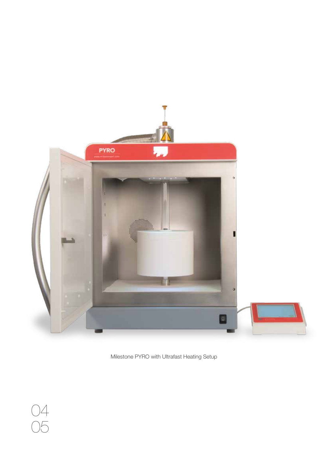

Milestone PYRO with Ultrafast Heating Setup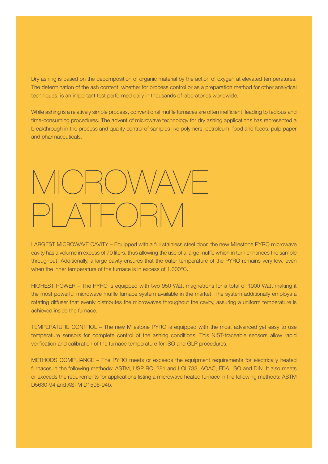Dry ashing is based on the decomposition of organic material by the action of oxygen at elevated temperatures. The determination of the ash content, whether for process control or as a preparation method for other analytical techniques, is an important test performed daily in thousands of laboratories worldwide.

While ashing is a relatively simple process, conventional muffle furnaces are often inefficient, leading to tedious and time-consuming procedures. The advent of microwave technology for dry ashing applications has represented a breakthrough in the process and quality control of samples like polymers, petroleum, food and feeds, pulp paper and pharmaceuticals.

# MICROWAVE PLATFORM

LARGEST MICROWAVE CAVITY – Equipped with a full stainless steel door, the new Milestone PYRO microwave cavity has a volume in excess of 70 liters, thus allowing the use of a large muffle which in turn enhances the sample throughput. Additionally, a large cavity ensures that the outer temperature of the PYRO remains very low, even when the inner temperature of the furnace is in excess of 1.000°C.

HIGHEST POWER – The PYRO is equipped with two 950 Watt magnetrons for a total of 1900 Watt making it the most powerful microwave muffle furnace system available in the market. The system additionally employs a rotating diffuser that evenly distributes the microwaves throughout the cavity, assuring a uniform temperature is achieved inside the furnace.

TEMPERATURE CONTROL – The new Milestone PYRO is equipped with the most advanced yet easy to use temperature sensors for complete control of the ashing conditions. This NIST-traceable sensors allow rapid verification and calibration of the furnace temperature for ISO and GLP procedures.

METHODS COMPLIANCE – The PYRO meets or exceeds the equipment requirements for electrically heated furnaces in the following methods: ASTM, USP ROI 281 and LOI 733, AOAC, FDA, ISO and DIN. It also meets or exceeds the requirements for applications listing a microwave heated furnace in the following methods: ASTM D5630-94 and ASTM D1506-94b.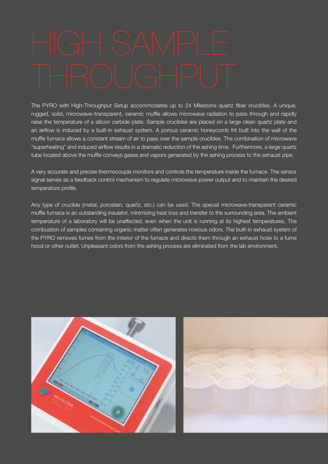The PYRO with High-Throughput Setup accommodates up to 24 Milestone quartz fiber crucibles. A unique, rugged, solid, microwave–transparent, ceramic muffle allows microwave radiation to pass through and rapidly raise the temperature of a silicon carbide plate. Sample crucibles are placed on a large clean quartz plate and an airflow is induced by a built-in exhaust system. A porous ceramic honeycomb frit built into the wall of the muffle furnace allows a constant stream of air to pass over the sample crucibles. The combination of microwave "superheating" and induced airflow results in a dramatic reduction of the ashing time. Furthermore, a large quartz tube located above the muffle conveys gases and vapors generated by the ashing process to the exhaust pipe.

A very accurate and precise thermocouple monitors and controls the temperature inside the furnace. The sensor signal serves as a feedback control mechanism to regulate microwave power output and to maintain the desired temperature profile.

Any type of crucible (metal, porcelain, quartz, etc.) can be used. The special microwave-transparent ceramic muffle furnace is an outstanding insulator, minimizing heat loss and transfer to the surrounding area. The ambient temperature of a laboratory will be unaffected, even when the unit is running at its highest temperatures. The combustion of samples containing organic matter often generates noxious odors. The built-in exhaust system of the PYRO removes fumes from the interior of the furnace and directs them through an exhaust hose to a fume hood or other outlet. Unpleasant odors from the ashing process are eliminated from the lab environment.



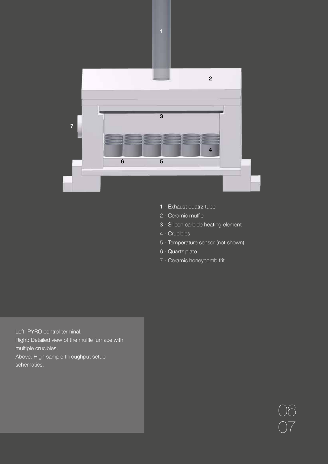

- 1 Exhaust quatrz tube
- 2 Ceramic muffle
- 3 Silicon carbide heating element
- 4 Crucibles
- 5 Temperature sensor (not shown)

06

07

- 6 Quartz plate
- 7 Ceramic honeycomb frit

Left: PYRO control terminal. Right: Detailed view of the muffle furnace with multiple crucibles. Above: High sample throughput setup schematics.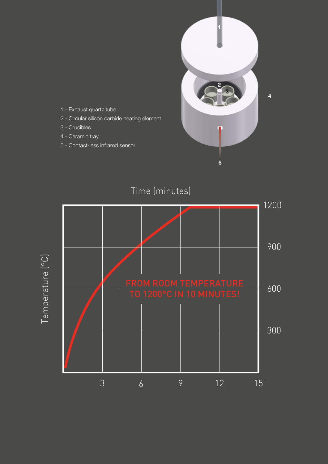

- 1 Exhaust quartz tube
- 2 Circular silicon carbide heating element
- 3 Crucibles
- 4 Ceramic tray
- 5 Contact-less infrared sensor

## Time (minutes)

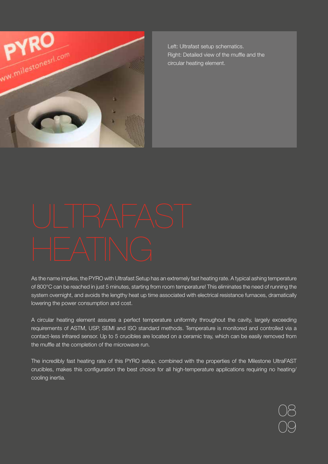

Left: Ultrafast setup schematics. Right: Detailed view of the muffle and the circular heating element.

As the name implies, the PYRO with Ultrafast Setup has an extremely fast heating rate. A typical ashing temperature of 800°C can be reached in just 5 minutes, starting from room temperature! This eliminates the need of running the system overnight, and avoids the lengthy heat up time associated with electrical resistance furnaces, dramatically lowering the power consumption and cost.

A circular heating element assures a perfect temperature uniformity throughout the cavity, largely exceeding requirements of ASTM, USP, SEMI and ISO standard methods. Temperature is monitored and controlled via a contact-less infrared sensor. Up to 5 crucibles are located on a ceramic tray, which can be easily removed from the muffle at the completion of the microwave run.

The incredibly fast heating rate of this PYRO setup, combined with the properties of the Milestone UltraFAST crucibles, makes this configuration the best choice for all high-temperature applications requiring no heating/ cooling inertia.

08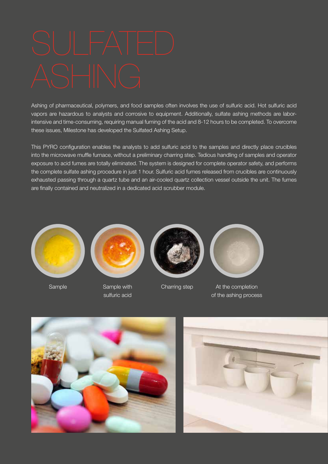Ashing of pharmaceutical, polymers, and food samples often involves the use of sulfuric acid. Hot sulfuric acid vapors are hazardous to analysts and corrosive to equipment. Additionally, sulfate ashing methods are laborintensive and time-consuming, requiring manual fuming of the acid and 8-12 hours to be completed. To overcome these issues, Milestone has developed the Sulfated Ashing Setup.

This PYRO configuration enables the analysts to add sulfuric acid to the samples and directly place crucibles into the microwave muffle furnace, without a preliminary charring step. Tedious handling of samples and operator exposure to acid fumes are totally eliminated. The system is designed for complete operator safety, and performs the complete sulfate ashing procedure in just 1 hour. Sulfuric acid fumes released from crucibles are continuously exhausted passing through a quartz tube and an air-cooled quartz collection vessel outside the unit. The fumes are finally contained and neutralized in a dedicated acid scrubber module.



Sample



Sample with sulfuric acid





Charring step At the completion of the ashing process



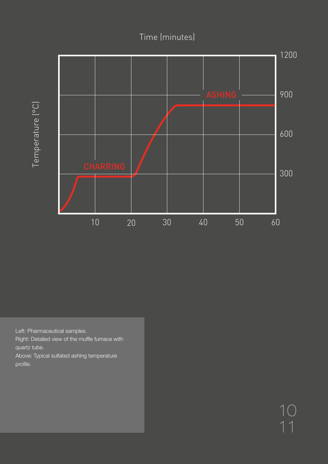Time (minutes)



Left: Pharmaceutical samples.

Temperature (°C)

Temperature (°C)

Right: Detailed view of the muffle furnace with quartz tube.

Above: Typical sulfated ashing temperature profile.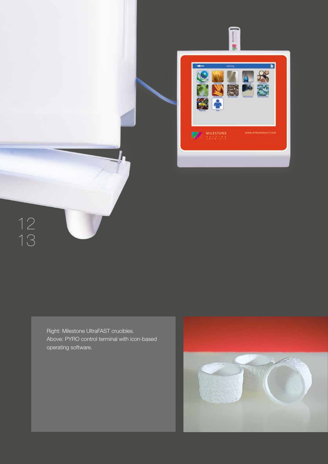

## 12 13

Right: Milestone UltraFAST crucibles. Above: PYRO control terminal with icon-based operating software.

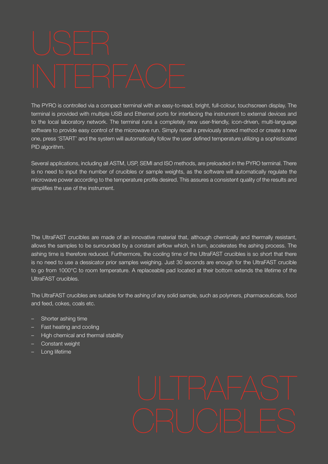The PYRO is controlled via a compact terminal with an easy-to-read, bright, full-colour, touchscreen display. The terminal is provided with multiple USB and Ethernet ports for interfacing the instrument to external devices and to the local laboratory network. The terminal runs a completely new user-friendly, icon-driven, multi-language software to provide easy control of the microwave run. Simply recall a previously stored method or create a new one, press 'START' and the system will automatically follow the user defined temperature utilizing a sophisticated PID algorithm.

Several applications, including all ASTM, USP, SEMI and ISO methods, are preloaded in the PYRO terminal. There is no need to input the number of crucibles or sample weights, as the software will automatically regulate the microwave power according to the temperature profile desired. This assures a consistent quality of the results and simplifies the use of the instrument.

The UltraFAST crucibles are made of an innovative material that, although chemically and thermally resistant, allows the samples to be surrounded by a constant airflow which, in turn, accelerates the ashing process. The ashing time is therefore reduced. Furthermore, the cooling time of the UltraFAST crucibles is so short that there is no need to use a dessicator prior samples weighing. Just 30 seconds are enough for the UltraFAST crucible to go from 1000°C to room temperature. A replaceable pad located at their bottom extends the lifetime of the UltraFAST crucibles.

The UltraFAST crucibles are suitable for the ashing of any solid sample, such as polymers, pharmaceuticals, food and feed, cokes, coals etc.

- Shorter ashing time
- Fast heating and cooling
- High chemical and thermal stability
- Constant weight
- Long lifetime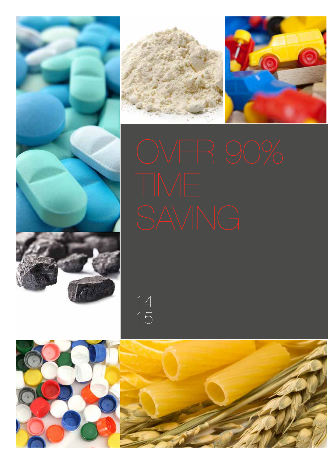









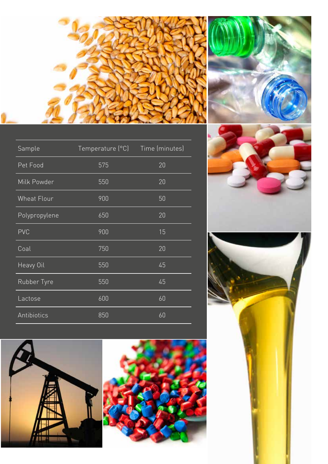



| Sample             | Temperature (°C) | Time (minutes) |
|--------------------|------------------|----------------|
| Pet Food           | 575              | 20             |
| Milk Powder        | 550              | 20             |
| <b>Wheat Flour</b> | 900              | 50             |
| Polypropylene      | 650              | 20             |
| <b>PVC</b>         | 900              | 15             |
| Coal               | 750              | 20             |
| Heavy Oil          | 550              | 45             |
| Rubber Tyre        | 550              | 45             |
| Lactose            | 600              | 60             |
| Antibiotics        | 850              | 60             |